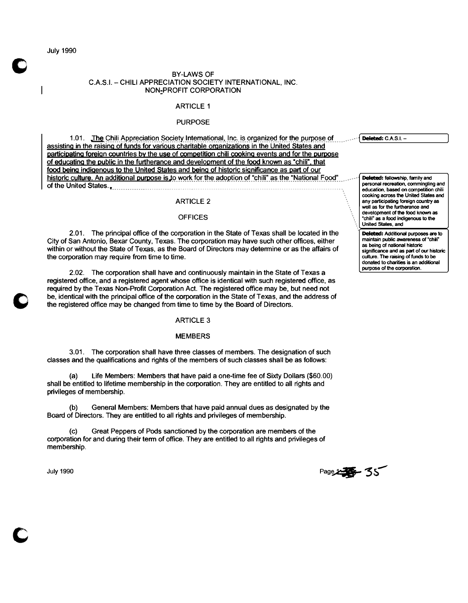July 1990

I

# BY-LAWS OF CAS.I. - CHILI APPRECIATION SOCIETY INTERNATIONAL, INC. NON:PROFIT CORPORATION

# ARTICLE 1

## PURPOSE

1.01. The Chili Appreciation Society International, Inc. is organized for the purpose of **Deleted: CAS.I.** assisting in the raising of funds for various charitable organizations in the United States and particioating foreign countries by the use of competition chili cooking events and for the purpose of educating the public in the furtherance and development of the food known as "chili", that food being indigenous to the United States and being of historic significance as part of our historic culture. An additional purpose is J~\_~~ct<J~n~\_~\_~~C?J?![C?n\_Qf "\_chlIL~\_!iJh~\_ ~\_t'lj\_~!j9.IJ\_~L f.C?~~:r: ---- of the United States.• \_

#### ARTICLE 2

#### **OFFICES**

2.01. The principal office of the corporation in the State of Texas shall be located in the City of San Antonio, Bexar County, Texas. The corporation may have such other offices, either within or without the State of Texas, as the Board of Directors may determine or as the affairs of the corporation may require from time to time.

2.02. The corporation shall have and continuously maintain in the State of Texas a registered office, and a registered agent whose office is identical with such registered office, as required by the Texas Non-Profit Corporation Act. The registered office may be, but need not be, identical with the principal office of the corporation in the State of Texas, and the address of the registered office may be changed from time to time by the Board of Directors.

# ARTICLE 3

### MEMBERS

3.01. The corporation shall have three classes of members. The designation of such classes and the qualifications and rights of the members of such classes shall be as follows:

(a) Life Members: Members that have paid a one-time fee of Sixty Dollars (\$60.00) shall be entitled to lifetime membership in the corporation. They are entitled to all rights and privileges of membership.

(b) General Members: Members that have paid annual dues as designated by the Board of Directors. They are entitled to all rights and privileges of membership.

(c) Great Peppers of Pods sanctioned by the corporation are members of the corporation for and during their term of office. They are entitled to all rights and privileges of membership.

Deleted: fellowship, family and personal recreation, commingling and education, based on competaion chili cooking across the United States and any participating foreign country as well as for the furtherance and development of the food known as "chili" as a food indigenous to the United States, and

Deleted: Additional purposes are to maintain public awareness of "chili" as being of national historic significance and as part of our historic culture. The raising of funds to be donated to charities is an additional purpose of the corporation.

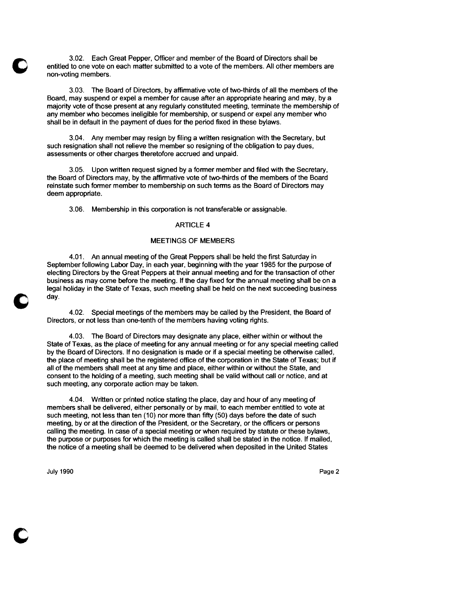3.02. Each Great Pepper, Officer and member of the Board of Directors shall be entitled to one vote on each matter submitted to a vote of the members. All other members are non-voting members.

3.03. The Board of Directors, by affirmative vote of two-thirds of all the members of the Board, may suspend or expel a member for cause after an appropriate hearing and may, by a majority vote of those present at any regularly constituted meeting, terminate the membership of any member who becomes ineligible for membership, or suspend or expel any member who shall be in default in the payment of dues for the period fixed in these bylaws.

3.04. Any member may resign by filing a written resignation with the Secretary, but such resignation shall not relieve the member so resigning of the obligation to pay dues, assessments or other charges theretofore accrued and unpaid.

3.05. Upon written request signed by a former member and filed with the Secretary, the Board of Directors may, by the affirmative vote of two-thirds of the members of the Board reinstate such former member to membership on such terms as the Board of Directors may deem appropriate.

3.06. Membership in this corporation is not transferable or assignable.

#### ARTICLE 4

# MEETINGS OF MEMBERS

4.01. An annual meeting of the Great Peppers shall be held the first Saturday in September following Labor Day, in each year, beginning with the year 1985 for the purpose of electing Directors by the Great Peppers at their annual meeting and for the transaction of other business as may come before the meeting. If the day fixed for the annual meeting shall be on a legal holiday in the State of Texas, such meeting shall be held on the next succeeding business day.

4.02. Special meetings of the members may be called by the President, the Board of Directors, or not less than one-tenth of the members having voting rights.

4.03. The Board of Directors may designate any place, either within or without the State of Texas, as the place of meeting for any annual meeting or for any special meeting called by the Board of Directors. If no designation is made or if a special meeting be otherwise called, the place of meeting shall be the registered office of the corporation in the State of Texas; but if all of the members shall meet at any time and place, either within or without the State, and consent to the holding of a meeting, such meeting shall be valid without call or notice, and at such meeting, any corporate action may be taken.

4.04. Written or printed notice stating the place, day and hour of any meeting of members shall be delivered, either personally or by mail, to each member entitled to vote at such meeting, not less than ten (10) nor more than fifty (50) days before the date of such meeting, by or at the direction of the President, or the Secretary, or the officers or persons calling the meeting. In case of a special meeting or when required by statute or these bylaws, the purpose or purposes for which the meeting is called shall be stated in the notice. If mailed, the notice of a meeting shall be deemed to be delivered when deposited in the United States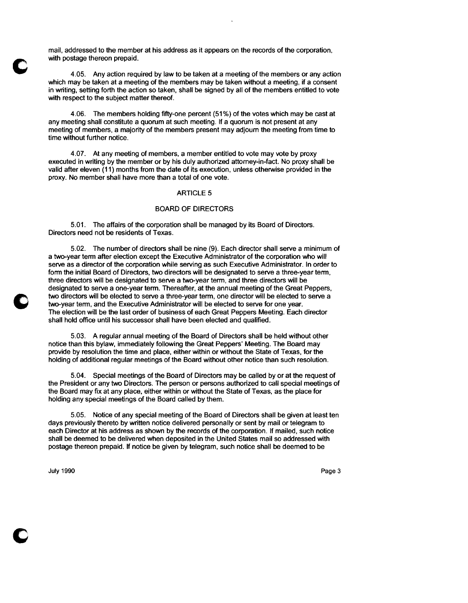mail, addressed to the member at his address as it appears on the records of the corporation, with postage thereon prepaid.

4.05. Any action required by law to be taken at a meeting of the members or any action which may be taken at a meeting of the members may be taken without a meeting, if a consent in writing, setting forth the action so taken, shall be signed by all of the members entitled to vote with respect to the subject matter thereof.

4.06. The members holding fifty-one percent (51 %) of the votes which may be cast at any meeting shall constitute a quorum at such meeting. If a quorum is not present at any meeting of members, a majority of the members present may adjourn the meeting from time to time without further notice.

4.07. At any meeting of members, a member entitled to vote may vote by proxy executed in writing by the member or by his duly authorized attorney-in-fact. No proxy shall be valid after eleven (11) months from the date of its execution, unless otherwise provided in the proxy. No member shall have more than a total of one vote.

## ARTICLE 5

# BOARD OF DIRECTORS

5.01. The affairs of the corporation shall be managed by its Board of Directors. Directors need not be residents of Texas.

5.02. The number of directors shall be nine (9). Each director shall serve a minimum of a two-year term after election except the Executive Administrator of the corporation who will serve as a director of the corporation while serving as such Executive Administrator. In order to form the initial Board of Directors, two directors will be designated to serve a three-year term, three directors will be designated to serve a two-year term, and three directors will be designated to serve a one-year term. Thereafter, at the annual meeting of the Great Peppers, two directors will be elected to serve a three-year term, one director will be elected to serve a two-year term, and the Executive Administrator will be elected to serve for one year. The election will be the last order of business of each Great Peppers Meeting. Each director shall hold office until his successor shall have been elected and qualified.

5.03. A regular annual meeting of the Board of Directors shall be held without other notice than this bylaw, immediately following the Great Peppers' Meeting. The Board may provide by resolution the time and place, either within or without the State of Texas, for the holding of additional regular meetings of the Board without other notice than such resolution.

5.04. Special meetings of the Board of Directors may be called by or at the request of the President or any two Directors. The person or persons authorized to call special meetings of the Board may fix at any place, either within or without the State of Texas, as the place for holding any special meetings of the Board called by them.

5.05. Notice of any special meeting of the Board of Directors shall be given at least ten days previously thereto by written notice delivered personally or sent by mail or telegram to each Director at his address as shown by the records of the corporation. If mailed, such notice shall be deemed to be delivered when deposited in the United States mail so addressed with postage thereon prepaid. If notice be given by telegram, such notice shall be deemed to be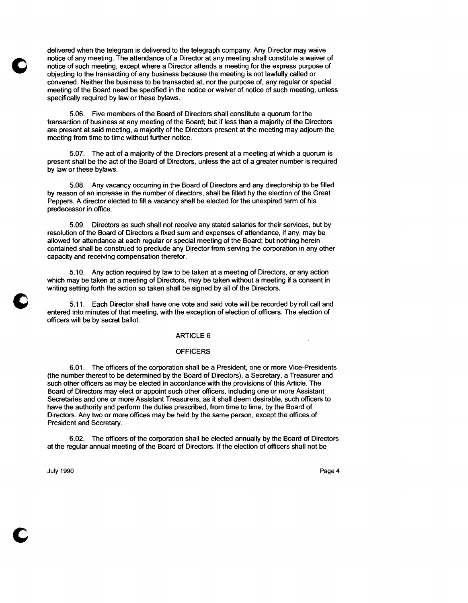delivered when the telegram is delivered to the telegraph company. Any Director may waive notice of any meeting. The attendance of a Director at any meeting shall constitute a waiver of notice of such meeting, except where a Director attends a meeting for the express purpose of objecting to the transacting of any business because the meeting is not lawfully called or convened. Neither the business to be transacted at, nor the purpose of, any regular or special meeting of the Board need be specified in the notice or waiver of notice of such meeting, unless specifically required by law or these bylaws.

5.06. Five members of the Board of Directors shall constitute a quorum for the transaction of business at any meeting of the Board; but if less than a majority of the Directors are present at said meeting, a majority of the Directors present at the meeting may adjoum the meeting from time to time without further notice.

5.07. The act of a majority of the Directors present at a meeting at which a quorum is present shall be the act of the Board of Directors, unless the act of a greater number is required by law or these bylaws.

5.08. Any vacancy occurring in the Board of Directors and any directorship to be filled by reason of an increase in the number of directors, shall be filled by the election of the Great Peppers. A director elected to fill a vacancy shall be elected for the unexpired term of his predecessor in office.

5.09. Directors as such shall not receive any stated salaries for their services, but by resolution of the Board of Directors a fixed sum and expenses of attendance, if any, may be allowed for attendance at each regular or special meeting of the Board; but nothing herein contained shall be construed to preclude any Director from serving the corporation in any other capacity and receiving compensation therefor.

5.10. Any action required by law to be taken at a meeting of Directors, or any action which may be taken at a meeting of Directors, may be taken without a meeting if a consent in writing setting forth the action so taken shall be signed by all of the Directors.

5.11. Each Director shall have one vote and said vote will be recorded by roll call and entered into minutes of that meeting, with the exception of election of officers. The election of officers will be by secret ballot.

# ARTICLE 6

# **OFFICERS**

6.01. The officers of the corporation shall be a President, one or more Vice-Presidents (the number thereof to be determined by the Board of Directors), a Secretary, a Treasurer and such other officers as may be elected in accordance with the provisions of this Article. The Board of Directors may elect or appoint such other officers, including one or more Assistant Secretaries and one or more Assistant Treasurers, as it shall deem desirable, such officers to have the authority and perform the duties prescribed, from time to time, by the Board of Directors. Any two or more offices may be held by the same person, except the offices of President and Secretary.

6.02. The officers of the corporation shall be elected annually by the Board of Directors at the regular annual meeting of the Board of Directors. If the election of officers shall not be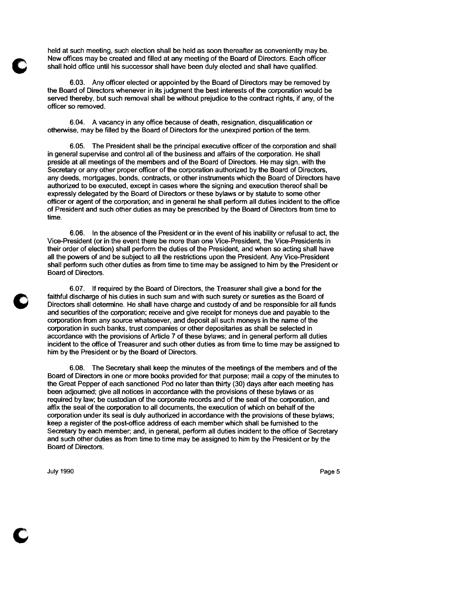held at such meeting, such election shall be held as soon thereafter as conveniently may be. New offices may be created and filled at any meeting of the Board of Directors. Each officer shall hold office until his successor shall have been duly elected and shall have qualified.

6.03. Any officer elected or appointed by the Board of Directors may be removed by the Board of Directors whenever in its judgment the best interests of the corporation would be served thereby, but such removal shall be without prejudice to the contract rights, if any, of the officer so removed.

6.04. A vacancy in any office because of death, resignation, disqualification or otherwise, may be filled by the Board of Directors for the unexpired portion of the term.

6.05. The President shall be the principal executive officer of the corporation and shall in general supervise and control all of the business and affairs of the corporation. He shall preside at all meetings of the members and of the Board of Directors. He may sign, with the Secretary or any other proper officer of the corporation authorized by the Board of Directors, any deeds, mortgages, bonds, contracts, or other instruments which the Board of Directors have authorized to be executed, except in cases where the signing and execution thereof shall be expressly delegated by the Board of Directors or these bylaws or by statute to some other officer or agent of the corporation; and in general he shall perform all duties incident to the office of President and such other duties as may be prescribed by the Board of Directors from time to time.

6.06. In the absence of the President or in the event of his inability or refusal to act, the Vice-President (or in the event there be more than one Vice-President, the Vice-Presidents in their order of election) shall perform the duties of the President, and when so acting shall have all the powers of and be subject to all the restrictions upon the President. Any Vice-President shall perform such other duties as from time to time may be assigned to him by the President or Board of Directors.

6.07. If required by the Board of Directors, the Treasurer shall give a bond for the faithful discharge of his duties in such sum and with such surety or sureties as the Board of Directors shall determine. He shall have charge and custody of and be responsible for all funds and securities of the corporation; receive and give receipt for moneys due and payable to the corporation from any source whatsoever, and deposit all such moneys in the name of the corporation in such banks, trust companies or other depositaries as shall be selected in accordance with the provisions of Article 7 of these bylaws; and in general perform all duties incident to the office of Treasurer and such other duties as from time to time may be assigned to him by the President or by the Board of Directors.

6.08. The Secretary shall keep the minutes of the meetings of the members and of the Board of Directors in one or more books provided for that purpose; mail a copy of the minutes to the Great Pepper of each sanctioned Pod no later than thirty (30) days after each meeting has been adjourned; give all notices in accordance with the provisions of these bylaws or as required by law; be custodian of the corporate records and of the seal of the corporation, and affix the seal of the corporation to all documents, the execution of which on behalf of the corporation under its seal is duly authorized in accordance with the provisions of these bylaws; keep a register of the post-office address of each member which shall be furnished to the Secretary by each member; and, in general, perform all duties incident to the office of Secretary and such other duties as from time to time may be assigned to him by the President or by the Board of Directors.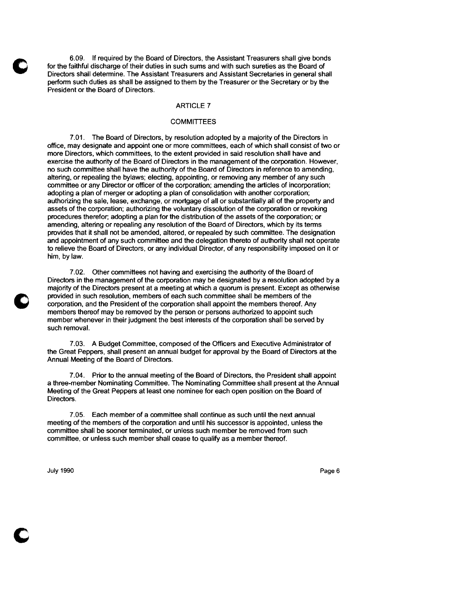6.09. If required by the Board of Directors, the Assistant Treasurers shall give bonds for the faithful discharge of their duties in such sums and with such sureties as the Board of Directors shall determine. The Assistant Treasurers and Assistant Secretaries in general shall perform such duties as shall be assigned to them by the Treasurer or the Secretary or by the President or the Board of Directors.

### ARTICLE 7

# **COMMITTEES**

7.01. The Board of Directors, by resolution adopted by a majority of the Directors in office, may designate and appoint one or more committees, each of which shall consist of two or more Directors, which committees, to the extent provided in said resolution shall have and exercise the authority of the Board of Directors in the management of the corporation. However, no such committee shall have the authority of the Board of Directors in reference to amending, altering, or repealing the bylaws; electing, appointing, or removing any member of any such committee or any Director or officer of the corporation; amending the articles of incorporation; adopting a plan of merger or adopting a plan of consolidation with another corporation; authorizing the sale, lease, exchange, or mortgage of all or substantially all of the property and assets of the corporation; authorizing the voluntary dissolution of the corporation or revoking procedures therefor; adopting a plan for the distribution of the assets of the corporation; or amending, altering or repealing any resolution of the Board of Directors, which by its terms provides that it shall not be amended, altered, or repealed by such committee. The designation and appointment of any such committee and the delegation thereto of authority shall not operate to relieve the Board of Directors, or any individual Director, of any responsibility imposed on it or him, by law.

7.02. Other committees not having and exercising the authority of the Board of Directors in the management of the corporation may be designated by a resolution adopted by a majority of the Directors present at a meeting at which a quorum is present. Except as otherwise provided in such resolution, members of each such committee shall be members of the corporation, and the President of the corporation shall appoint the members thereof. Any members thereof may be removed by the person or persons authorized to appoint such member whenever in their judgment the best interests of the corporation shall be served by such removal.

7.03. A Budget Committee, composed of the Officers and Executive Administrator of the Great Peppers, shall present an annual budget for approval by the Board of Directors at the Annual Meeting of the Board of Directors.

7.04. Prior to the annual meeting of the Board of Directors, the President shall appoint a three-member Nominating Committee. The Nominating Committee shall present at the Annual Meeting of the Great Peppers at least one nominee for each open position on the Board of Directors.

7.05. Each member of a committee shall continue as such until the next annual meeting of the members of the corporation and until his successor is appointed, unless the committee shall be sooner terminated, or unless such member be removed from such committee, or unless such member shall cease to qualify as a member thereof.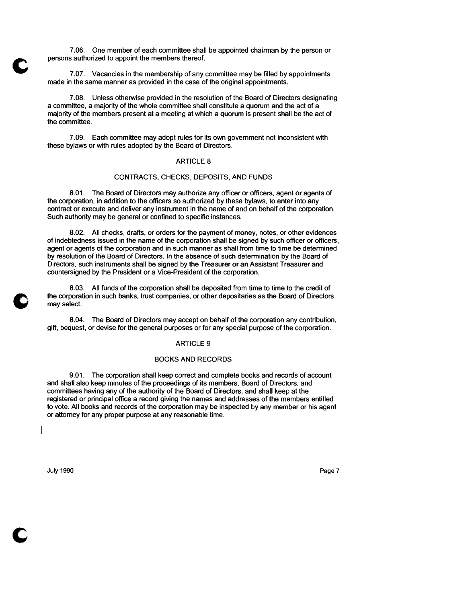7.06. One member of each committee shall be appointed chairman by the person or persons authorized to appoint the members thereof.

7.07. Vacancies in the membership of any committee may be filled by appointments made in the same manner as provided in the case of the original appointments.

7.08. Unless otherwise provided in the resolution of the Board of Directors designating a committee, a majority of the whole committee shall constitute a quorum and the act of a majority of the members present at a meeting at which a quorum is present shall be the act of the committee.

7.09. Each committee may adopt rules for its own government not inconsistent with these bylaws or with rules adopted by the Board of Directors.

# ARTICLE 8

### CONTRACTS, CHECKS, DEPOSITS, AND FUNDS

8.01. The Board of Directors may authorize any officer or officers, agent or agents of the corporation, in addition to the officers so authorized by these bylaws, to enter into any contract or execute and deliver any instrument in the name of and on behalf of the corporation. Such authority may be general or confined to specific instances.

8.02. All checks, drafts, or orders for the payment of money, notes, or other evidences of indebtedness issued in the name of the corporation shall be signed by such officer or officers, agent or agents of the corporation and in such manner as shall from time to time be determined by resolution of the Board of Directors. In the absence of such determination by the Board of Directors, such instruments shall be signed by the Treasurer or an Assistant Treasurer and countersigned by the President or a Vice-President of the corporation.

8.03. All funds of the corporation shall be deposited from time to time to the credit of the corporation in such banks, trust companies, or other depositaries as the Board of Directors may select.

8.04. The Board of Directors may accept on behalf of the corporation any contribution, gift, bequest, or devise for the general purposes or for any special purpose of the corporation.

### ARTICLE 9

#### BOOKS AND RECORDS

9.01. The corporation shall keep correct and complete books and records of account and shall also keep minutes of the proceedings of its members, Board of Directors, and committees having any of the authority of the Board of Directors, and shall keep at the registered or principal office a record giving the names and addresses of the members entitled to vote. All books and records of the corporation may be inspected by any member or his agent or attorney for any proper purpose at any reasonable time.

July 1990 Page?

I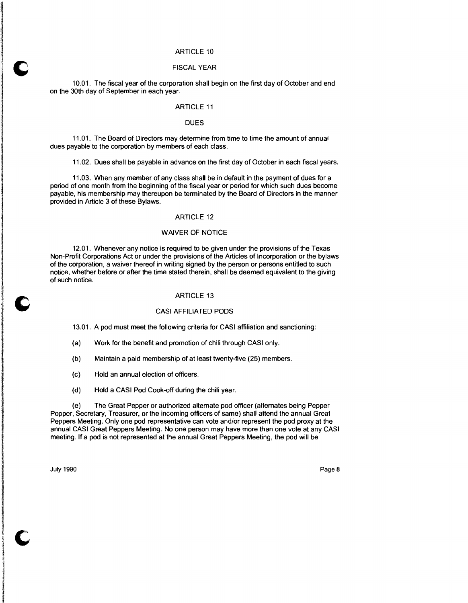# ARTICLE 10

# FISCAL YEAR

10.01. The fiscal year of the corporation shall begin on the first day of October and end on the 30th day of September in each year.

# ARTICLE 11

# DUES

11.01. The Board of Directors may determine from time to time the amount of annual dues payable to the corporation by members of each class.

11.02. Dues shall be payable in advance on the first day of October in each fiscal years.

11.03. When any member of any class shall be in default in the payment of dues for a period of one month from the beginning of the fiscal year or period for which such dues become payable, his membership may thereupon be terminated by the Board of Directors in the manner provided in Article 3 of these Bylaws.

### ARTICLE 12

# WAIVER OF NOTICE

12.01. Whenever any notice is required to be given under the provisions of the Texas Non-Profit Corporations Act or under the provisions of the Articles of Incorporation or the bylaws of the corporation, a waiver thereof in writing signed by the person or persons entitled to such notice, whether before or after the time stated therein, shall be deemed equivalent to the giving of such notice.

#### ARTICLE 13

# CASI AFFILIATED PODS

13.01. A pod must meet the following criteria for CASI affiliation and sanctioning:

- (a) Work for the benefit and promotion of chili through CASI only.
- (b) Maintain a paid membership of at least twenty-five (25) members.
- (c) Hold an annual election of officers.
- (d) Hold a CASI Pod Cook-off during the chili year.

(e) The Great Pepper or authorized alternate pod officer (alternates being Pepper Popper, Secretary, Treasurer, or the incoming officers of same) shall attend the annual Great Peppers Meeting. Only one pod representative can vote and/or represent the pod proxy at the annual CASI Great Peppers Meeting. No one person may have more than one vote at any CASI meeting. If a pod is not represented at the annual Great Peppers Meeting, the pod will be